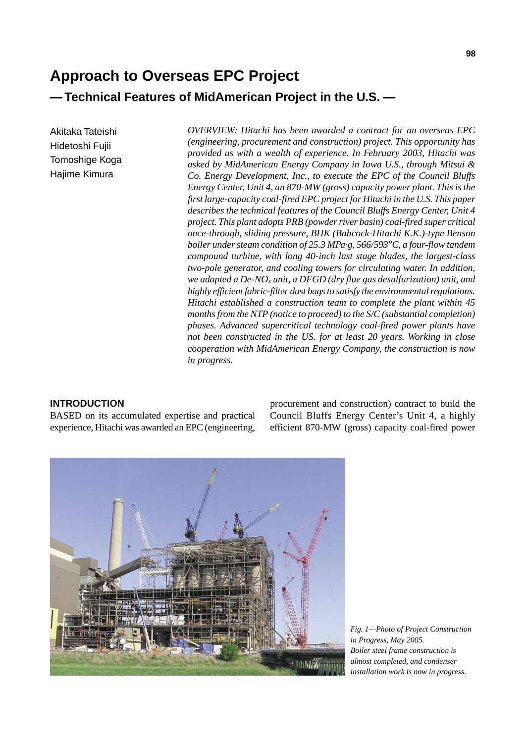# **Approach to Overseas EPC Project — Technical Features of MidAmerican Project in the U.S. —**

Akitaka Tateishi Hidetoshi Fujii Tomoshige Koga Hajime Kimura

*OVERVIEW: Hitachi has been awarded a contract for an overseas EPC (engineering, procurement and construction) project. This opportunity has provided us with a wealth of experience. In February 2003, Hitachi was asked by MidAmerican Energy Company in Iowa U.S., through Mitsui & Co. Energy Development, Inc., to execute the EPC of the Council Bluffs Energy Center, Unit 4, an 870-MW (gross) capacity power plant. This is the first large-capacity coal-fired EPC project for Hitachi in the U.S. This paper describes the technical features of the Council Bluffs Energy Center, Unit 4 project. This plant adopts PRB (powder river basin) coal-fired super critical once-through, sliding pressure, BHK (Babcock-Hitachi K.K.)-type Benson boiler under steam condition of 25.3 MPa·g, 566/593*°*C, a four-flow tandem compound turbine, with long 40-inch last stage blades, the largest-class two-pole generator, and cooling towers for circulating water. In addition, we adapted a De-NOx unit, a DFGD (dry flue gas desulfurization) unit, and highly efficient fabric-filter dust bags to satisfy the environmental regulations. Hitachi established a construction team to complete the plant within 45 months from the NTP (notice to proceed) to the S/C (substantial completion) phases. Advanced supercritical technology coal-fired power plants have not been constructed in the US. for at least 20 years. Working in close cooperation with MidAmerican Energy Company, the construction is now in progress.*

# **INTRODUCTION**

BASED on its accumulated expertise and practical experience, Hitachi was awarded an EPC (engineering, procurement and construction) contract to build the Council Bluffs Energy Center's Unit 4, a highly efficient 870-MW (gross) capacity coal-fired power

*in Progress, May 2005.*



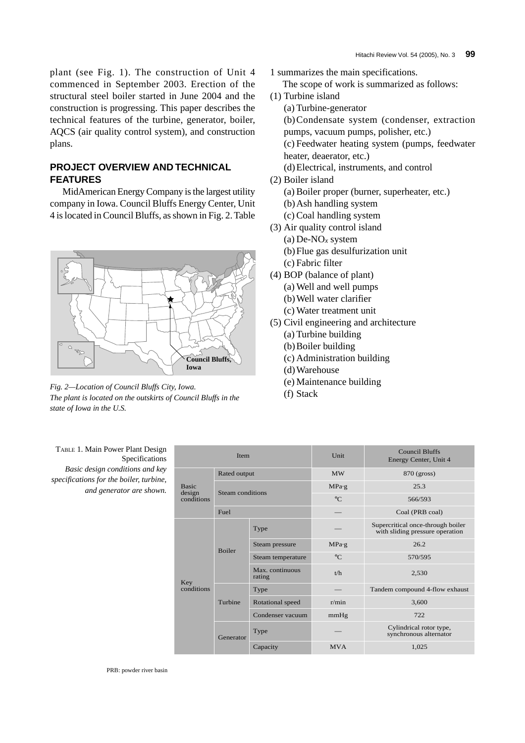plant (see Fig. 1). The construction of Unit 4 commenced in September 2003. Erection of the structural steel boiler started in June 2004 and the construction is progressing. This paper describes the technical features of the turbine, generator, boiler, AQCS (air quality control system), and construction plans.

# **PROJECT OVERVIEW AND TECHNICAL FEATURES**

MidAmerican Energy Company is the largest utility company in Iowa. Council Bluffs Energy Center, Unit 4 is located in Council Bluffs, as shown in Fig. 2. Table



*Fig. 2—Location of Council Bluffs City, Iowa. The plant is located on the outskirts of Council Bluffs in the state of Iowa in the U.S.*

1 summarizes the main specifications.

The scope of work is summarized as follows:

- (1) Turbine island
	- (a) Turbine-generator
	- (b)Condensate system (condenser, extraction pumps, vacuum pumps, polisher, etc.)

(c) Feedwater heating system (pumps, feedwater heater, deaerator, etc.)

- (d)Electrical, instruments, and control
- (2) Boiler island
	- (a) Boiler proper (burner, superheater, etc.)
	- (b)Ash handling system
	- (c) Coal handling system
- (3) Air quality control island
	- (a) De-NO*x* system
	- (b)Flue gas desulfurization unit
	- (c) Fabric filter
- (4) BOP (balance of plant)
	- (a) Well and well pumps
	- (b)Well water clarifier
	- (c) Water treatment unit
- (5) Civil engineering and architecture
	- (a) Turbine building
	- (b)Boiler building
	- (c) Administration building
	- (d)Warehouse
	- (e) Maintenance building
	- (f) Stack

| TABLE 1. Main Power Plant Design<br>Specifications                                                     | Item                                 |                  |                           | Unit            | <b>Council Bluffs</b><br>Energy Center, Unit 4                       |
|--------------------------------------------------------------------------------------------------------|--------------------------------------|------------------|---------------------------|-----------------|----------------------------------------------------------------------|
| Basic design conditions and key<br>specifications for the boiler, turbine,<br>and generator are shown. | <b>Basic</b><br>design<br>conditions | Rated output     |                           | MW              | 870 (gross)                                                          |
|                                                                                                        |                                      | Steam conditions |                           | $MPa \cdot g$   | 25.3                                                                 |
|                                                                                                        |                                      |                  |                           | $\rm ^{\circ}C$ | 566/593                                                              |
|                                                                                                        |                                      | Fuel             |                           |                 | Coal (PRB coal)                                                      |
|                                                                                                        | Key<br>conditions                    | Boiler           | Type                      |                 | Supercritical once-through boiler<br>with sliding pressure operation |
|                                                                                                        |                                      |                  | Steam pressure            | $MPa \cdot g$   | 26.2                                                                 |
|                                                                                                        |                                      |                  | Steam temperature         | $\rm ^{\circ}C$ | 570/595                                                              |
|                                                                                                        |                                      |                  | Max. continuous<br>rating | t/h             | 2,530                                                                |
|                                                                                                        |                                      | Turbine          | Type                      |                 | Tandem compound 4-flow exhaust                                       |
|                                                                                                        |                                      |                  | Rotational speed          | r/min           | 3,600                                                                |
|                                                                                                        |                                      |                  | Condenser vacuum          | mmHg            | 722                                                                  |
|                                                                                                        |                                      | Generator        | Type                      |                 | Cylindrical rotor type,<br>synchronous alternator                    |
|                                                                                                        |                                      |                  | Capacity                  | <b>MVA</b>      | 1,025                                                                |

PRB: powder river basin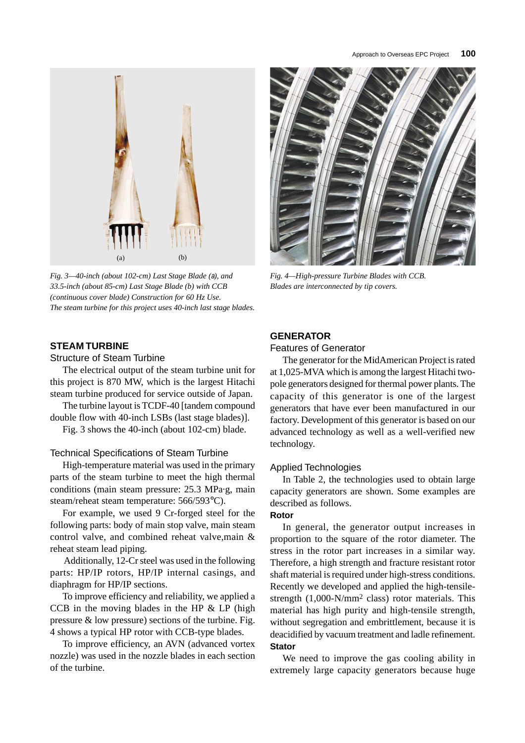

*Fig. 3—40-inch (about 102-cm) Last Stage Blade (*a*), and 33.5-inch (about 85-cm) Last Stage Blade (b) with CCB (continuous cover blade) Construction for 60 Hz Use. The steam turbine for this project uses 40-inch last stage blades.*

# **STEAM TURBINE**

Structure of Steam Turbine

The electrical output of the steam turbine unit for this project is 870 MW, which is the largest Hitachi steam turbine produced for service outside of Japan.

The turbine layout is TCDF-40 [tandem compound double flow with 40-inch LSBs (last stage blades)].

Fig. 3 shows the 40-inch (about 102-cm) blade.

### Technical Specifications of Steam Turbine

High-temperature material was used in the primary parts of the steam turbine to meet the high thermal conditions (main steam pressure: 25.3 MPa·g, main steam/reheat steam temperature: 566/593°C).

For example, we used 9 Cr-forged steel for the following parts: body of main stop valve, main steam control valve, and combined reheat valve,main & reheat steam lead piping.

Additionally, 12-Cr steel was used in the following parts: HP/IP rotors, HP/IP internal casings, and diaphragm for HP/IP sections.

To improve efficiency and reliability, we applied a CCB in the moving blades in the HP  $&$  LP (high pressure & low pressure) sections of the turbine. Fig. 4 shows a typical HP rotor with CCB-type blades.

To improve efficiency, an AVN (advanced vortex nozzle) was used in the nozzle blades in each section of the turbine.



*Fig. 4—High-pressure Turbine Blades with CCB. Blades are interconnected by tip covers.*

# **GENERATOR**

# Features of Generator

The generator for the MidAmerican Project is rated at 1,025-MVA which is among the largest Hitachi twopole generators designed for thermal power plants. The capacity of this generator is one of the largest generators that have ever been manufactured in our factory. Development of this generator is based on our advanced technology as well as a well-verified new technology.

### Applied Technologies

In Table 2, the technologies used to obtain large capacity generators are shown. Some examples are described as follows.

### **Rotor**

In general, the generator output increases in proportion to the square of the rotor diameter. The stress in the rotor part increases in a similar way. Therefore, a high strength and fracture resistant rotor shaft material is required under high-stress conditions. Recently we developed and applied the high-tensilestrength (1,000-N/mm2 class) rotor materials. This material has high purity and high-tensile strength, without segregation and embrittlement, because it is deacidified by vacuum treatment and ladle refinement. **Stator**

We need to improve the gas cooling ability in extremely large capacity generators because huge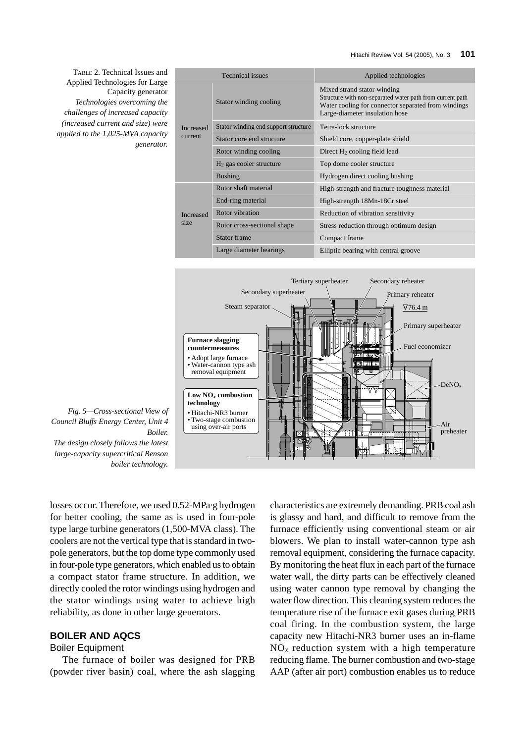TABLE 2. Technical Issues and Applied Technologies for Large Capacity generator *Technologies overcoming the challenges of increased capacity (increased current and size) were applied to the 1,025-MVA capacity generator.*

| <b>Technical</b> issues            |                                      | Applied technologies                                                                                                                                                              |  |  |
|------------------------------------|--------------------------------------|-----------------------------------------------------------------------------------------------------------------------------------------------------------------------------------|--|--|
| <b>Increased</b><br><b>current</b> | Stator winding cooling               | Mixed strand stator winding<br>Structure with non-separated water path from current path<br>Water cooling for connector separated from windings<br>Large-diameter insulation hose |  |  |
|                                    | Stator winding end support structure | Tetra-lock structure                                                                                                                                                              |  |  |
|                                    | Stator core end structure            | Shield core, copper-plate shield                                                                                                                                                  |  |  |
|                                    | Rotor winding cooling                | Direct $H_2$ cooling field lead                                                                                                                                                   |  |  |
|                                    | $H2$ gas cooler structure            | Top dome cooler structure                                                                                                                                                         |  |  |
|                                    | <b>Bushing</b>                       | Hydrogen direct cooling bushing                                                                                                                                                   |  |  |
| <b>Increased</b><br>size           | Rotor shaft material                 | High-strength and fracture toughness material                                                                                                                                     |  |  |
|                                    | End-ring material                    | High-strength 18Mn-18Cr steel                                                                                                                                                     |  |  |
|                                    | Rotor vibration                      | Reduction of vibration sensitivity                                                                                                                                                |  |  |
|                                    | Rotor cross-sectional shape          | Stress reduction through optimum design                                                                                                                                           |  |  |
|                                    | Stator frame                         | Compact frame                                                                                                                                                                     |  |  |
|                                    | Large diameter bearings              | Elliptic bearing with central groove                                                                                                                                              |  |  |



*Fig. 5—Cross-sectional View of Council Bluffs Energy Center, Unit 4 Boiler.*

*The design closely follows the latest large-capacity supercritical Benson boiler technology.*

losses occur. Therefore, we used 0.52-MPa·g hydrogen for better cooling, the same as is used in four-pole type large turbine generators (1,500-MVA class). The coolers are not the vertical type that is standard in twopole generators, but the top dome type commonly used in four-pole type generators, which enabled us to obtain a compact stator frame structure. In addition, we directly cooled the rotor windings using hydrogen and the stator windings using water to achieve high reliability, as done in other large generators.

# **BOILER AND AQCS**

### Boiler Equipment

The furnace of boiler was designed for PRB (powder river basin) coal, where the ash slagging characteristics are extremely demanding. PRB coal ash is glassy and hard, and difficult to remove from the furnace efficiently using conventional steam or air blowers. We plan to install water-cannon type ash removal equipment, considering the furnace capacity. By monitoring the heat flux in each part of the furnace water wall, the dirty parts can be effectively cleaned using water cannon type removal by changing the water flow direction. This cleaning system reduces the temperature rise of the furnace exit gases during PRB coal firing. In the combustion system, the large capacity new Hitachi-NR3 burner uses an in-flame  $NO<sub>x</sub>$  reduction system with a high temperature reducing flame. The burner combustion and two-stage AAP (after air port) combustion enables us to reduce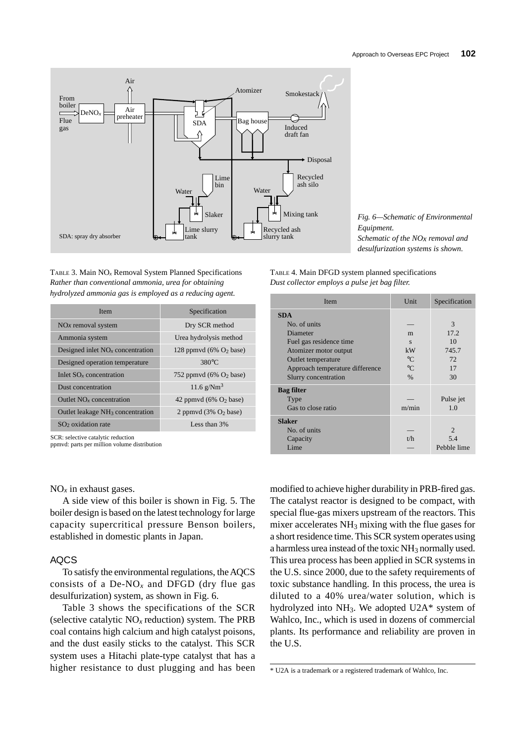

TABLE 3. Main NO*x* Removal System Planned Specifications *Rather than conventional ammonia, urea for obtaining hydrolyzed ammonia gas is employed as a reducing agent.*

| <b>Item</b>                                  | Specification                              | <b>SDA</b>       |
|----------------------------------------------|--------------------------------------------|------------------|
| $NOx$ removal system                         | Dry SCR method                             | N                |
| Ammonia system                               | Urea hydrolysis method                     | F <sub>0</sub>   |
| Designed inlet $NOx$ concentration           | 128 ppmvd $(6\% \text{ O}_2 \text{ base})$ | A                |
| Designed operation temperature               | $380^{\circ}$ C                            | A                |
| Inlet $SOx$ concentration                    | 752 ppmvd $(6\% \text{ O}_2 \text{ base})$ |                  |
| Dust concentration                           | 11.6 $g/Nm^3$                              | Bag              |
| Outlet $NOx$ concentration                   | 42 ppmvd $(6\% \text{ O}_2 \text{ base})$  | Т                |
| Outlet leakage NH <sub>3</sub> concentration | 2 ppmvd $(3\% \text{ O}_2 \text{ base})$   | G                |
| $SO2$ oxidation rate                         | Less than 3%                               | <b>Slak</b><br>N |

SCR: selective catalytic reduction

ppmvd: parts per million volume distribution

 $NO<sub>x</sub>$  in exhaust gases.

A side view of this boiler is shown in Fig. 5. The boiler design is based on the latest technology for large capacity supercritical pressure Benson boilers, established in domestic plants in Japan.

### AQCS

To satisfy the environmental regulations, the AQCS consists of a De-NO<sub>x</sub> and DFGD (dry flue gas desulfurization) system, as shown in Fig. 6.

Table 3 shows the specifications of the SCR (selective catalytic NO*x* reduction) system. The PRB coal contains high calcium and high catalyst poisons, and the dust easily sticks to the catalyst. This SCR system uses a Hitachi plate-type catalyst that has a higher resistance to dust plugging and has been *Fig. 6—Schematic of Environmental Equipment. Schematic of the NOx removal and desulfurization systems is shown.*

TABLE 4. Main DFGD system planned specifications *Dust collector employs a pulse jet bag filter.*

| Item                            | Unit        | Specification  |  |
|---------------------------------|-------------|----------------|--|
| <b>SDA</b>                      |             |                |  |
| No. of units                    |             | 3              |  |
| Diameter                        | m           | 17.2           |  |
| Fuel gas residence time         | S           | 10             |  |
| Atomizer motor output           | kW          | 745.7          |  |
| Outlet temperature              | $^{\circ}C$ | 72             |  |
| Approach temperature difference | $^{\circ}C$ | 17             |  |
| Slurry concentration            | $\%$        | 30             |  |
| <b>Bag filter</b>               |             |                |  |
| Type                            |             | Pulse jet      |  |
| Gas to close ratio              | m/min       | 1.0            |  |
| <b>Slaker</b>                   |             |                |  |
| No. of units                    |             | $\overline{c}$ |  |
| Capacity                        | t/h         | 5.4            |  |
| Lime                            |             | Pebble lime    |  |

modified to achieve higher durability in PRB-fired gas. The catalyst reactor is designed to be compact, with special flue-gas mixers upstream of the reactors. This mixer accelerates NH3 mixing with the flue gases for a short residence time. This SCR system operates using a harmless urea instead of the toxic NH3 normally used. This urea process has been applied in SCR systems in the U.S. since 2000, due to the safety requirements of toxic substance handling. In this process, the urea is diluted to a 40% urea/water solution, which is hydrolyzed into NH3. We adopted U2A\* system of Wahlco, Inc., which is used in dozens of commercial plants. Its performance and reliability are proven in the U.S.

<sup>\*</sup> U2A is a trademark or a registered trademark of Wahlco, Inc.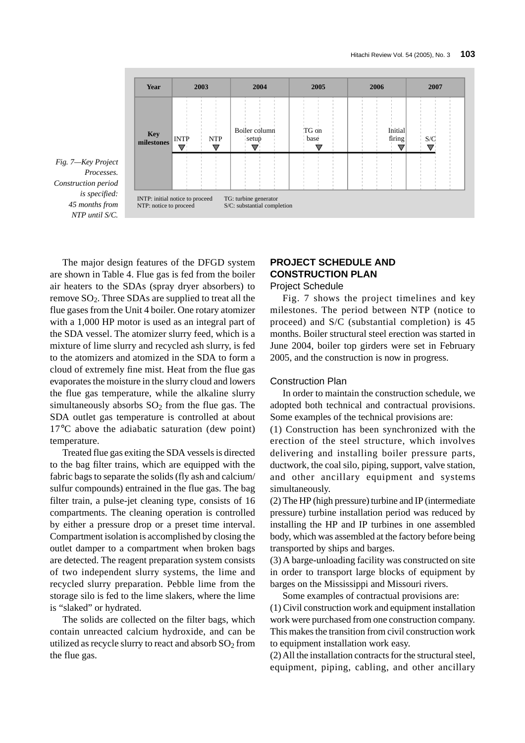

*Fig. 7—Key Project Processes. Construction period is specified: 45 months from NTP until S/C.*

The major design features of the DFGD system are shown in Table 4. Flue gas is fed from the boiler air heaters to the SDAs (spray dryer absorbers) to remove SO2. Three SDAs are supplied to treat all the flue gases from the Unit 4 boiler. One rotary atomizer with a 1,000 HP motor is used as an integral part of the SDA vessel. The atomizer slurry feed, which is a mixture of lime slurry and recycled ash slurry, is fed to the atomizers and atomized in the SDA to form a cloud of extremely fine mist. Heat from the flue gas evaporates the moisture in the slurry cloud and lowers the flue gas temperature, while the alkaline slurry simultaneously absorbs  $SO<sub>2</sub>$  from the flue gas. The SDA outlet gas temperature is controlled at about 17°C above the adiabatic saturation (dew point) temperature.

Treated flue gas exiting the SDA vessels is directed to the bag filter trains, which are equipped with the fabric bags to separate the solids (fly ash and calcium/ sulfur compounds) entrained in the flue gas. The bag filter train, a pulse-jet cleaning type, consists of 16 compartments. The cleaning operation is controlled by either a pressure drop or a preset time interval. Compartment isolation is accomplished by closing the outlet damper to a compartment when broken bags are detected. The reagent preparation system consists of two independent slurry systems, the lime and recycled slurry preparation. Pebble lime from the storage silo is fed to the lime slakers, where the lime is "slaked" or hydrated.

The solids are collected on the filter bags, which contain unreacted calcium hydroxide, and can be utilized as recycle slurry to react and absorb  $SO<sub>2</sub>$  from the flue gas.

# **PROJECT SCHEDULE AND CONSTRUCTION PLAN**

# Project Schedule

Fig. 7 shows the project timelines and key milestones. The period between NTP (notice to proceed) and S/C (substantial completion) is 45 months. Boiler structural steel erection was started in June 2004, boiler top girders were set in February 2005, and the construction is now in progress.

### Construction Plan

In order to maintain the construction schedule, we adopted both technical and contractual provisions. Some examples of the technical provisions are:

(1) Construction has been synchronized with the erection of the steel structure, which involves delivering and installing boiler pressure parts, ductwork, the coal silo, piping, support, valve station, and other ancillary equipment and systems simultaneously.

(2) The HP (high pressure) turbine and IP (intermediate pressure) turbine installation period was reduced by installing the HP and IP turbines in one assembled body, which was assembled at the factory before being transported by ships and barges.

(3) A barge-unloading facility was constructed on site in order to transport large blocks of equipment by barges on the Mississippi and Missouri rivers.

Some examples of contractual provisions are:

(1) Civil construction work and equipment installation work were purchased from one construction company. This makes the transition from civil construction work to equipment installation work easy.

(2) All the installation contracts for the structural steel, equipment, piping, cabling, and other ancillary